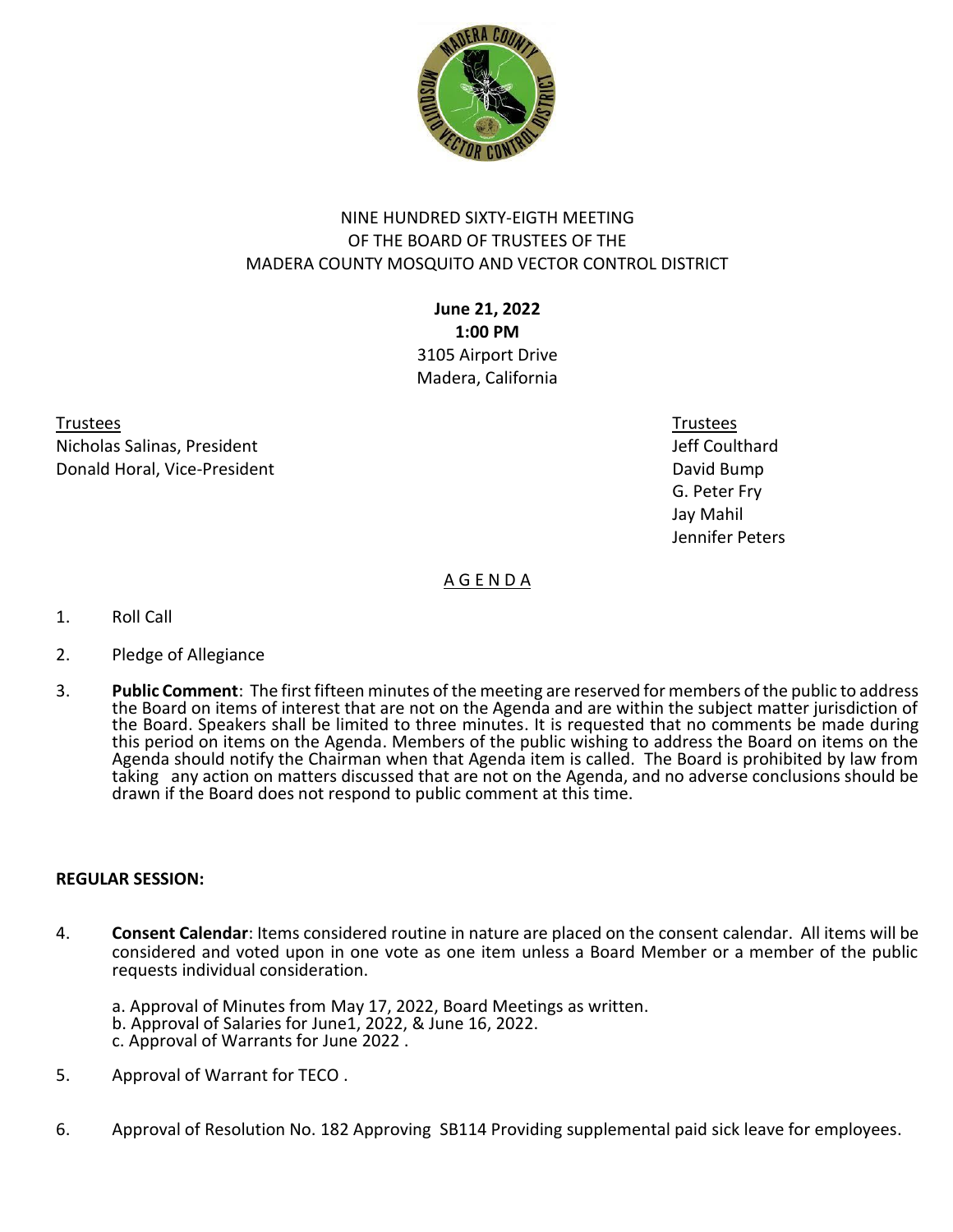

# NINE HUNDRED SIXTY-EIGTH MEETING OF THE BOARD OF TRUSTEES OF THE MADERA COUNTY MOSQUITO AND VECTOR CONTROL DISTRICT

**June 21, 2022 1:00 PM** 3105 Airport Drive Madera, California

Trustees Trustees Nicholas Salinas, President Jeff Coulthard **Donald Horal, Vice-President Community Community Community Community Community Community Community Community Community Community Community Community Community Community Community Community Community Community Community Co** 

 G. Peter Fry Jay Mahil Jennifer Peters

A G E N D A

- 1. Roll Call
- 2. Pledge of Allegiance
- 3. **Public Comment**: The first fifteen minutes of the meeting are reserved for members of the public to address the Board on items of interest that are not on the Agenda and are within the subject matter jurisdiction of the Board. Speakers shall be limited to three minutes. It is requested that no comments be made during this period on items on the Agenda. Members of the public wishing to address the Board on items on the Agenda should notify the Chairman when that Agenda item is called. The Board is prohibited by law from taking any action on matters discussed that are not on the Agenda, and no adverse conclusions should be drawn if the Board does not respond to public comment at this time.

## **REGULAR SESSION:**

- 4. **Consent Calendar**: Items considered routine in nature are placed on the consent calendar. All items will be considered and voted upon in one vote as one item unless a Board Member or a member of the public requests individual consideration.
	- a. Approval of Minutes from May 17, 2022, Board Meetings as written.
	- b. Approval of Salaries for June1, 2022, & June 16, 2022.
	- c. Approval of Warrants for June 2022 .
- 5. Approval of Warrant for TECO .
- 6. Approval of Resolution No. 182 Approving SB114 Providing supplemental paid sick leave for employees.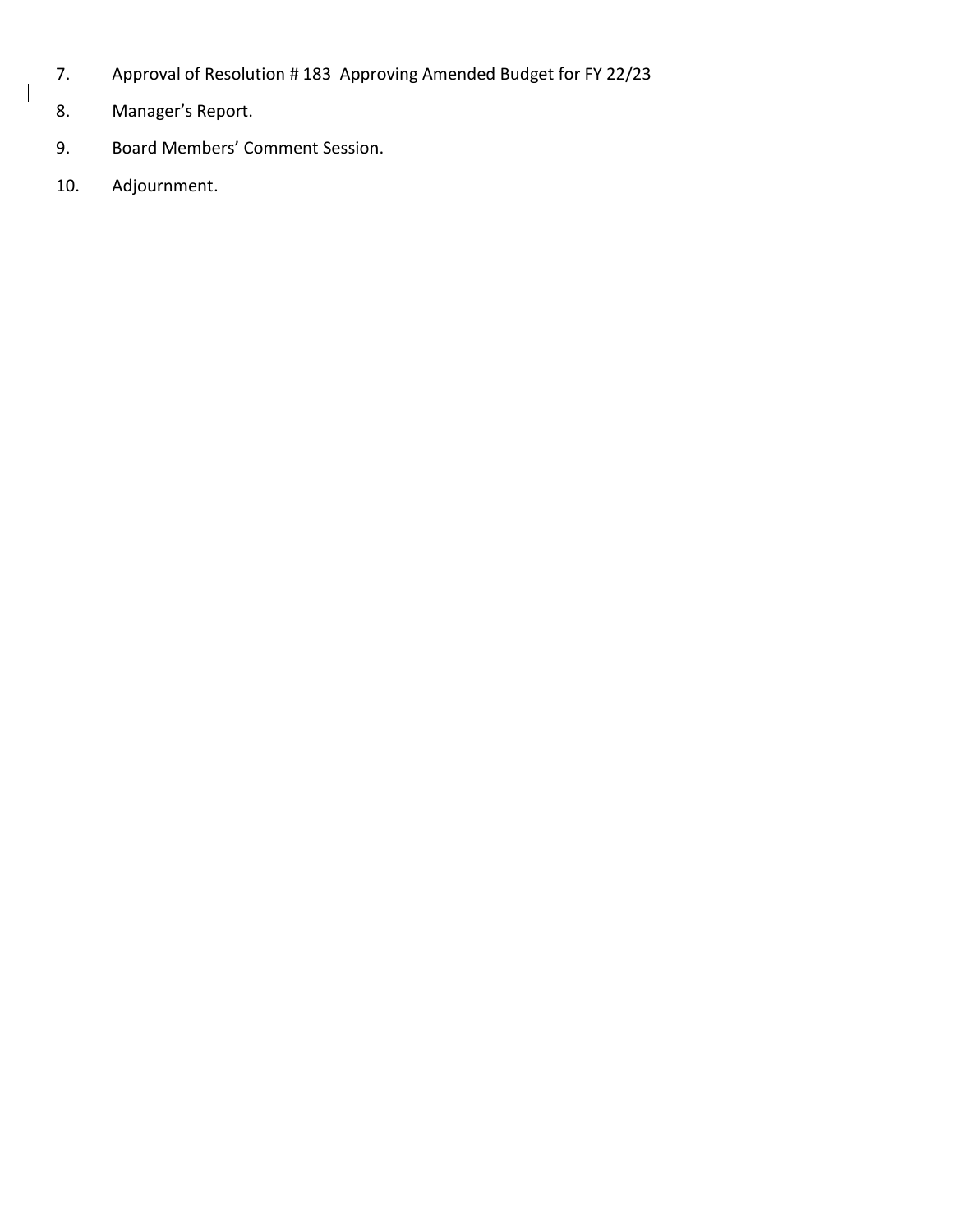- 7. Approval of Resolution # 183 Approving Amended Budget for FY 22/23
- 8. Manager's Report.
- 9. Board Members' Comment Session.
- 10. Adjournment.